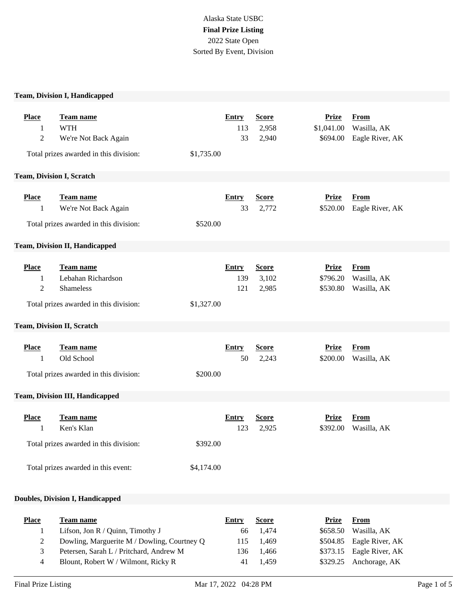# Alaska State USBC **Final Prize Listing** 2022 State Open Sorted By Event, Division

### **Team, Division I, Handicapped**

| <b>Place</b><br>1<br>$\overline{c}$ | <b>Team name</b><br><b>WTH</b><br>We're Not Back Again<br>Total prizes awarded in this division:         | \$1,735.00             | Entry<br>113<br>33         | <b>Score</b><br>2,958<br>2,940 | <b>Prize</b><br>\$1,041.00<br>\$694.00 | <b>From</b><br>Wasilla, AK<br>Eagle River, AK |
|-------------------------------------|----------------------------------------------------------------------------------------------------------|------------------------|----------------------------|--------------------------------|----------------------------------------|-----------------------------------------------|
| <b>Team, Division I, Scratch</b>    |                                                                                                          |                        |                            |                                |                                        |                                               |
| <b>Place</b><br>1                   | Team name<br>We're Not Back Again<br>Total prizes awarded in this division:                              | \$520.00               | <b>Entry</b><br>33         | <b>Score</b><br>2,772          | <b>Prize</b><br>\$520.00               | <b>From</b><br>Eagle River, AK                |
|                                     | <b>Team, Division II, Handicapped</b>                                                                    |                        |                            |                                |                                        |                                               |
| <b>Place</b><br>1<br>$\overline{c}$ | Team name<br>Lebahan Richardson<br>Shameless<br>Total prizes awarded in this division:                   | \$1,327.00             | <b>Entry</b><br>139<br>121 | <b>Score</b><br>3,102<br>2,985 | <b>Prize</b><br>\$796.20<br>\$530.80   | <b>From</b><br>Wasilla, AK<br>Wasilla, AK     |
|                                     | Team, Division II, Scratch                                                                               |                        |                            |                                |                                        |                                               |
| <b>Place</b><br>1                   | Team name<br>Old School<br>Total prizes awarded in this division:                                        | \$200.00               | <b>Entry</b><br>50         | <b>Score</b><br>2,243          | <b>Prize</b><br>\$200.00               | <b>From</b><br>Wasilla, AK                    |
|                                     | <b>Team, Division III, Handicapped</b>                                                                   |                        |                            |                                |                                        |                                               |
| <b>Place</b><br>1                   | Team name<br>Ken's Klan<br>Total prizes awarded in this division:<br>Total prizes awarded in this event: | \$392.00<br>\$4,174.00 | <b>Entry</b><br>123        | <b>Score</b><br>2,925          | <b>Prize</b><br>\$392.00               | <b>From</b><br>Wasilla, AK                    |
|                                     |                                                                                                          |                        |                            |                                |                                        |                                               |
|                                     | <b>Doubles, Division I, Handicapped</b>                                                                  |                        |                            |                                |                                        |                                               |
| <b>Place</b>                        | Team name                                                                                                |                        | <b>Entry</b>               | <b>Score</b>                   | <b>Prize</b>                           | <b>From</b>                                   |

| <u>Place</u> | Team name                                   | Entry | Score     | Prize | From                      |  |
|--------------|---------------------------------------------|-------|-----------|-------|---------------------------|--|
|              | Lifson, Jon $R /$ Quinn, Timothy J          |       | 66 1.474  |       | $$658.50$ Wasilla, AK     |  |
|              | Dowling, Marguerite M / Dowling, Courtney Q |       | 115 1.469 |       | \$504.85 Eagle River, AK  |  |
| 3            | Petersen, Sarah L / Pritchard, Andrew M     | 136-  | - 1.466   |       | $$373.15$ Eagle River, AK |  |
| 4            | Blount, Robert W / Wilmont, Ricky R         | 41    | 1.459     |       | $$329.25$ Anchorage, AK   |  |
|              |                                             |       |           |       |                           |  |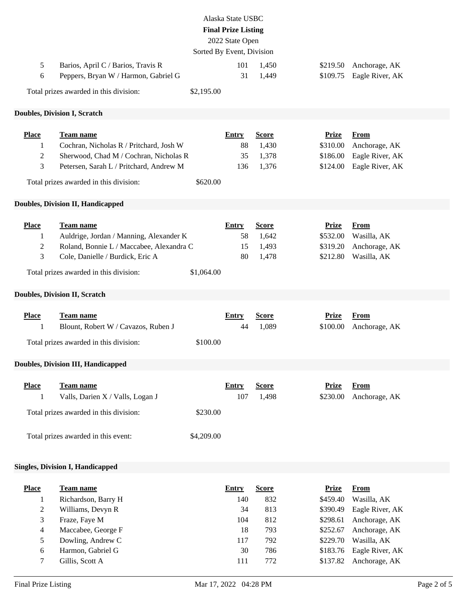|                                                         |                                                                                                                                                                                       | Sorted By Event, Division | Alaska State USBC<br><b>Final Prize Listing</b><br>2022 State Open |                                                        |                                                                                      |                                                                                                                   |
|---------------------------------------------------------|---------------------------------------------------------------------------------------------------------------------------------------------------------------------------------------|---------------------------|--------------------------------------------------------------------|--------------------------------------------------------|--------------------------------------------------------------------------------------|-------------------------------------------------------------------------------------------------------------------|
| 5<br>6                                                  | Barios, April C / Barios, Travis R<br>Peppers, Bryan W / Harmon, Gabriel G                                                                                                            |                           | 101<br>31                                                          | 1,450<br>1,449                                         | \$219.50<br>\$109.75                                                                 | Anchorage, AK<br>Eagle River, AK                                                                                  |
|                                                         | Total prizes awarded in this division:                                                                                                                                                | \$2,195.00                |                                                                    |                                                        |                                                                                      |                                                                                                                   |
|                                                         | <b>Doubles, Division I, Scratch</b>                                                                                                                                                   |                           |                                                                    |                                                        |                                                                                      |                                                                                                                   |
|                                                         |                                                                                                                                                                                       |                           |                                                                    |                                                        |                                                                                      |                                                                                                                   |
| <b>Place</b><br>1<br>2<br>3                             | Team name<br>Cochran, Nicholas R / Pritchard, Josh W<br>Sherwood, Chad M / Cochran, Nicholas R<br>Petersen, Sarah L / Pritchard, Andrew M                                             |                           | <b>Entry</b><br>88<br>35<br>136                                    | <b>Score</b><br>1,430<br>1,378<br>1,376                | <b>Prize</b><br>\$310.00<br>\$186.00<br>\$124.00                                     | <b>From</b><br>Anchorage, AK<br>Eagle River, AK<br>Eagle River, AK                                                |
|                                                         | Total prizes awarded in this division:                                                                                                                                                | \$620.00                  |                                                                    |                                                        |                                                                                      |                                                                                                                   |
|                                                         | <b>Doubles, Division II, Handicapped</b>                                                                                                                                              |                           |                                                                    |                                                        |                                                                                      |                                                                                                                   |
| <b>Place</b><br>1<br>2<br>3                             | <b>Team name</b><br>Auldrige, Jordan / Manning, Alexander K<br>Roland, Bonnie L / Maccabee, Alexandra C<br>Cole, Danielle / Burdick, Eric A<br>Total prizes awarded in this division: | \$1,064.00                | <b>Entry</b><br>58<br>15<br>80                                     | <b>Score</b><br>1,642<br>1,493<br>1,478                | <b>Prize</b><br>\$532.00<br>\$319.20<br>\$212.80                                     | <b>From</b><br>Wasilla, AK<br>Anchorage, AK<br>Wasilla, AK                                                        |
|                                                         |                                                                                                                                                                                       |                           |                                                                    |                                                        |                                                                                      |                                                                                                                   |
|                                                         | <b>Doubles, Division II, Scratch</b>                                                                                                                                                  |                           |                                                                    |                                                        |                                                                                      |                                                                                                                   |
| <b>Place</b><br>1                                       | Team name<br>Blount, Robert W / Cavazos, Ruben J<br>Total prizes awarded in this division:                                                                                            | \$100.00                  | <b>Entry</b><br>44                                                 | <b>Score</b><br>1,089                                  | <b>Prize</b><br>\$100.00                                                             | <b>From</b><br>Anchorage, AK                                                                                      |
|                                                         | <b>Doubles, Division III, Handicapped</b>                                                                                                                                             |                           |                                                                    |                                                        |                                                                                      |                                                                                                                   |
| <b>Place</b><br>1                                       | Team name<br>Valls, Darien X / Valls, Logan J<br>Total prizes awarded in this division:<br>Total prizes awarded in this event:                                                        | \$230.00<br>\$4,209.00    | <b>Entry</b><br>107                                                | <b>Score</b><br>1,498                                  | <b>Prize</b><br>\$230.00                                                             | <b>From</b><br>Anchorage, AK                                                                                      |
|                                                         | <b>Singles, Division I, Handicapped</b>                                                                                                                                               |                           |                                                                    |                                                        |                                                                                      |                                                                                                                   |
| <b>Place</b><br>1<br>$\overline{c}$<br>3<br>4<br>5<br>6 | Team name<br>Richardson, Barry H<br>Williams, Devyn R<br>Fraze, Faye M<br>Maccabee, George F<br>Dowling, Andrew C<br>Harmon, Gabriel G                                                |                           | <b>Entry</b><br>140<br>34<br>104<br>18<br>117<br>30                | <b>Score</b><br>832<br>813<br>812<br>793<br>792<br>786 | <b>Prize</b><br>\$459.40<br>\$390.49<br>\$298.61<br>\$252.67<br>\$229.70<br>\$183.76 | <b>From</b><br>Wasilla, AK<br>Eagle River, AK<br>Anchorage, AK<br>Anchorage, AK<br>Wasilla, AK<br>Eagle River, AK |
| 7                                                       | Gillis, Scott A                                                                                                                                                                       |                           | 111                                                                | 772                                                    | \$137.82                                                                             | Anchorage, AK                                                                                                     |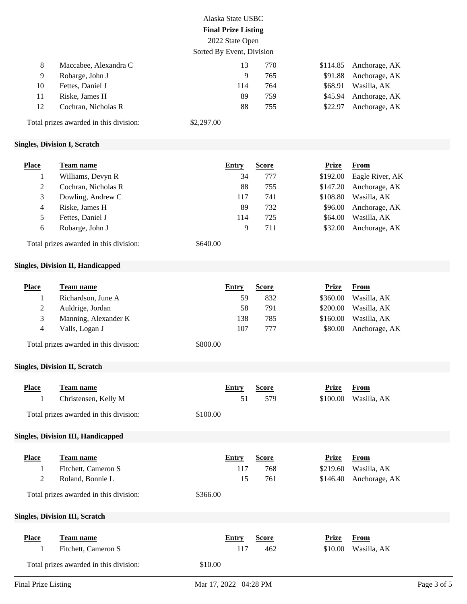|    |                                        | Alaska State USBC          |     |          |               |
|----|----------------------------------------|----------------------------|-----|----------|---------------|
|    |                                        | <b>Final Prize Listing</b> |     |          |               |
|    |                                        | 2022 State Open            |     |          |               |
|    |                                        | Sorted By Event, Division  |     |          |               |
| 8  | Maccabee, Alexandra C                  | 13                         | 770 | \$114.85 | Anchorage, AK |
| 9  | Robarge, John J                        | 9                          | 765 | \$91.88  | Anchorage, AK |
| 10 | Fettes, Daniel J                       | 114                        | 764 | \$68.91  | Wasilla, AK   |
| 11 | Riske, James H                         | 89                         | 759 | \$45.94  | Anchorage, AK |
| 12 | Cochran, Nicholas R                    | 88                         | 755 | \$22.97  | Anchorage, AK |
|    | Total prizes awarded in this division: | \$2,297.00                 |     |          |               |

### **Singles, Division I, Scratch**

| <b>Place</b> | Team name           | <b>Entry</b> | Score | Prize    | From            |
|--------------|---------------------|--------------|-------|----------|-----------------|
|              | Williams, Devyn R   | 34           | 777   | \$192.00 | Eagle River, AK |
|              | Cochran, Nicholas R | 88           | 755   | \$147.20 | Anchorage, AK   |
| 3            | Dowling, Andrew C   | 117          | 741   | \$108.80 | Wasilla, AK     |
| 4            | Riske, James H      | 89           | 732   | \$96.00  | Anchorage, AK   |
| 5            | Fettes, Daniel J    | 114          | 725   | \$64.00  | Wasilla, AK     |
| 6            | Robarge, John J     | 9            | 711   | \$32.00  | Anchorage, AK   |

Total prizes awarded in this division: \$640.00

## **Singles, Division II, Handicapped**

| Place | Team name            | Entry | <b>Score</b> | <b>From</b><br>Prize     |  |
|-------|----------------------|-------|--------------|--------------------------|--|
|       | Richardson, June A   | 59    | 832          | Wasilla, AK<br>\$360.00  |  |
|       | Auldrige, Jordan     | 58    | 791          | Wasilla, AK<br>\$200.00  |  |
|       | Manning, Alexander K | 138   | 785          | \$160.00<br>Wasilla, AK  |  |
| 4     | Valls, Logan J       | 107   | 777          | Anchorage, AK<br>\$80.00 |  |
|       |                      |       |              |                          |  |

Total prizes awarded in this division: \$800.00

#### **Singles, Division II, Scratch**

| <b>Place</b><br>$\mathbf{I}$ | <b>Team name</b><br>Christensen, Kelly M<br>Total prizes awarded in this division:                                                             | \$100.00 | <b>Entry</b><br>51        | <b>Score</b><br>579        | Prize<br>\$100.00                    | <b>From</b><br>Wasilla, AK                  |
|------------------------------|------------------------------------------------------------------------------------------------------------------------------------------------|----------|---------------------------|----------------------------|--------------------------------------|---------------------------------------------|
|                              | <b>Singles, Division III, Handicapped</b>                                                                                                      |          |                           |                            |                                      |                                             |
| <b>Place</b><br>T<br>2       | <u>Team name</u><br>Fitchett, Cameron S<br>Roland, Bonnie L<br>Total prizes awarded in this division:<br><b>Singles, Division III, Scratch</b> | \$366.00 | <b>Entry</b><br>117<br>15 | <b>Score</b><br>768<br>761 | <b>Prize</b><br>\$219.60<br>\$146.40 | <b>From</b><br>Wasilla, AK<br>Anchorage, AK |
| <b>Place</b><br>$\perp$      | Team name<br>Fitchett, Cameron S<br>Total prizes awarded in this division:                                                                     | \$10.00  | Entry<br>117              | <b>Score</b><br>462        | <b>Prize</b><br>\$10.00              | <b>From</b><br>Wasilla, AK                  |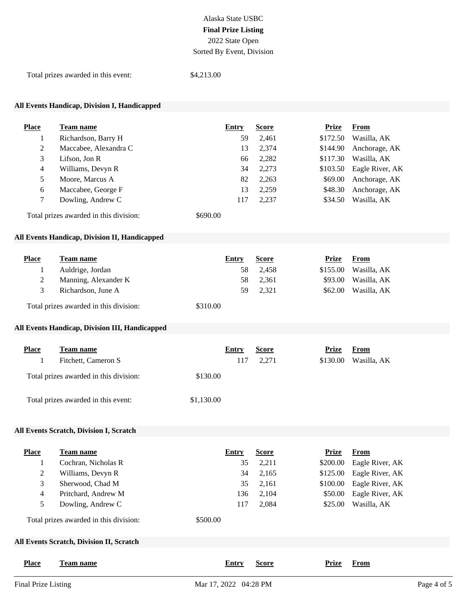## Alaska State USBC **Final Prize Listing** 2022 State Open Sorted By Event, Division

Total prizes awarded in this event: \$4,213.00

### **All Events Handicap, Division I, Handicapped**

| Place          | Team name                              | Entry    | <b>Score</b> | <b>Prize</b> | From            |
|----------------|----------------------------------------|----------|--------------|--------------|-----------------|
|                | Richardson, Barry H                    | 59       | 2,461        | \$172.50     | Wasilla, AK     |
| $\overline{2}$ | Maccabee, Alexandra C                  | 13       | 2,374        | \$144.90     | Anchorage, AK   |
| 3              | Lifson, Jon $R$                        | 66       | 2,282        | \$117.30     | Wasilla, AK     |
| 4              | Williams, Devyn R                      | 34       | 2,273        | \$103.50     | Eagle River, AK |
| 5              | Moore, Marcus A                        | 82       | 2,263        | \$69.00      | Anchorage, AK   |
| 6              | Maccabee, George F                     | 13       | 2,259        | \$48.30      | Anchorage, AK   |
| 7              | Dowling, Andrew C                      | 117      | 2,237        | \$34.50      | Wasilla, AK     |
|                | Total prizes awarded in this division: | \$690.00 |              |              |                 |

#### **All Events Handicap, Division II, Handicapped**

| Place | Team name                              | Entry    | <b>Score</b> | Prize    | From        |
|-------|----------------------------------------|----------|--------------|----------|-------------|
|       | Auldrige, Jordan                       | 58       | 2.458        | \$155.00 | Wasilla, AK |
|       | Manning, Alexander K                   | 58       | 2.361        | \$93.00  | Wasilla, AK |
|       | Richardson, June A                     | 59       | 2.321        | \$62.00  | Wasilla, AK |
|       | Total prizes awarded in this division: | \$310.00 |              |          |             |

#### **All Events Handicap, Division III, Handicapped**

| <b>Place</b> | Team name                              | Entry      | <b>Score</b> | Prize<br>From           |
|--------------|----------------------------------------|------------|--------------|-------------------------|
|              | Fitchett, Cameron S                    | 117        | 2.271        | Wasilla, AK<br>\$130.00 |
|              | Total prizes awarded in this division: | \$130.00   |              |                         |
|              | Total prizes awarded in this event:    | \$1,130.00 |              |                         |

#### **All Events Scratch, Division I, Scratch**

| <b>Place</b>        | Team name                                       | Entry                 | <b>Score</b> | <b>Prize</b> | <b>From</b>     |             |
|---------------------|-------------------------------------------------|-----------------------|--------------|--------------|-----------------|-------------|
|                     | Cochran, Nicholas R                             | 35                    | 2,211        | \$200.00     | Eagle River, AK |             |
| 2                   | Williams, Devyn R                               | 34                    | 2,165        | \$125.00     | Eagle River, AK |             |
| 3                   | Sherwood, Chad M                                | 35                    | 2,161        | \$100.00     | Eagle River, AK |             |
| 4                   | Pritchard, Andrew M                             | 136                   | 2,104        | \$50.00      | Eagle River, AK |             |
| 5                   | Dowling, Andrew C                               | 117                   | 2,084        | \$25.00      | Wasilla, AK     |             |
|                     | Total prizes awarded in this division:          | \$500.00              |              |              |                 |             |
|                     | <b>All Events Scratch, Division II, Scratch</b> |                       |              |              |                 |             |
| <b>Place</b>        | <b>Team name</b>                                | Entry                 | <b>Score</b> | <b>Prize</b> | From            |             |
| Final Prize Listing |                                                 | Mar 17, 2022 04:28 PM |              |              |                 | Page 4 of 5 |